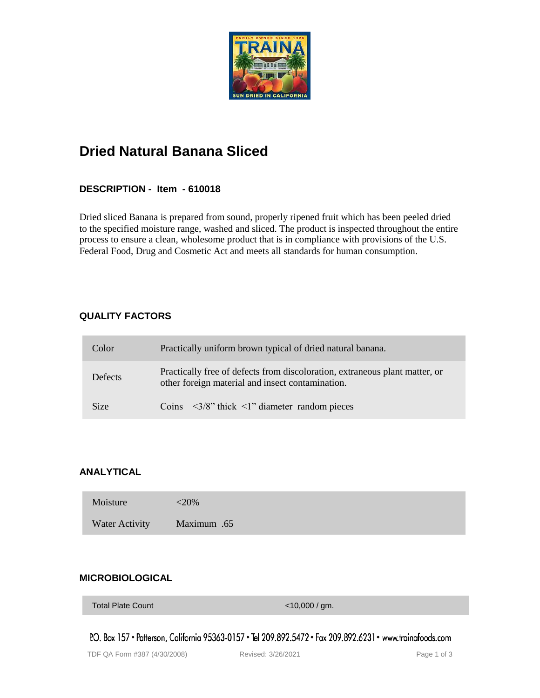

# **Dried Natural Banana Sliced**

## **DESCRIPTION - Item - 610018**

Dried sliced Banana is prepared from sound, properly ripened fruit which has been peeled dried to the specified moisture range, washed and sliced. The product is inspected throughout the entire process to ensure a clean, wholesome product that is in compliance with provisions of the U.S. Federal Food, Drug and Cosmetic Act and meets all standards for human consumption.

## **QUALITY FACTORS**

| Color          | Practically uniform brown typical of dried natural banana.                                                                      |
|----------------|---------------------------------------------------------------------------------------------------------------------------------|
| <b>Defects</b> | Practically free of defects from discoloration, extraneous plant matter, or<br>other foreign material and insect contamination. |
| Size           | Coins $\langle 3/8 \rangle$ thick $\langle 1 \rangle$ diameter random pieces                                                    |

## **ANALYTICAL**

| Moisture       | $<$ 20%     |
|----------------|-------------|
| Water Activity | Maximum .65 |

## **MICROBIOLOGICAL**

Total Plate Count **Total Plate Count COUNTING COUNTING COUNTY** 

P.O. Box 157 • Patterson, California 95363-0157 • Tel 209.892.5472 • Fax 209.892.6231 • www.trainafoods.com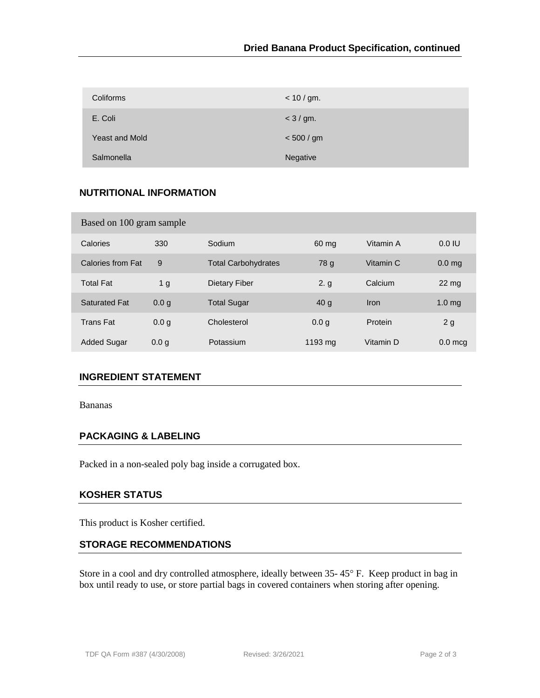| Coliforms             | < 10 / gm.  |
|-----------------------|-------------|
| E. Coli               | $<$ 3 / gm. |
| <b>Yeast and Mold</b> | < 500 / gm  |
| Salmonella            | Negative    |

## **NUTRITIONAL INFORMATION**

| Based on 100 gram sample |                  |                            |                   |           |                    |  |  |  |
|--------------------------|------------------|----------------------------|-------------------|-----------|--------------------|--|--|--|
| Calories                 | 330              | Sodium                     | 60 mg             | Vitamin A | 0.0 IU             |  |  |  |
| Calories from Fat        | 9                | <b>Total Carbohydrates</b> | 78 g              | Vitamin C | 0.0 <sub>ma</sub>  |  |  |  |
| <b>Total Fat</b>         | 1 <sub>g</sub>   | Dietary Fiber              | 2. g              | Calcium   | $22 \,\mathrm{mg}$ |  |  |  |
| <b>Saturated Fat</b>     | 0.0 <sub>g</sub> | <b>Total Sugar</b>         | 40 <sub>g</sub>   | Iron      | 1.0 <sub>mg</sub>  |  |  |  |
| <b>Trans Fat</b>         | 0.0 <sub>q</sub> | Cholesterol                | 0.0 <sub>q</sub>  | Protein   | 2g                 |  |  |  |
| <b>Added Sugar</b>       | 0.0 <sub>q</sub> | Potassium                  | $1193 \text{ mg}$ | Vitamin D | $0.0$ mcg          |  |  |  |

#### **INGREDIENT STATEMENT**

Bananas

#### **PACKAGING & LABELING**

Packed in a non-sealed poly bag inside a corrugated box.

## **KOSHER STATUS**

This product is Kosher certified.

#### **STORAGE RECOMMENDATIONS**

Store in a cool and dry controlled atmosphere, ideally between  $35-45^{\circ}$  F. Keep product in bag in box until ready to use, or store partial bags in covered containers when storing after opening.